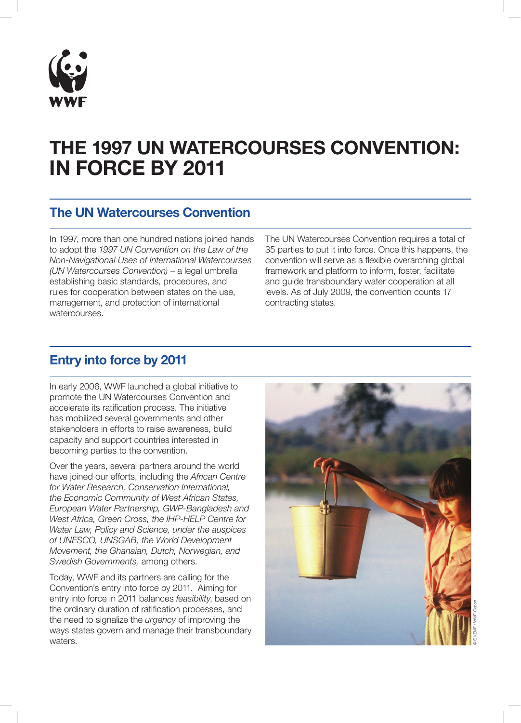

# THE 1997 UN WATERCOURSES CONVENTION: IN FORCE BY 2011

#### The UN Watercourses Convention

In 1997, more than one hundred nations joined hands to adopt the *1997 UN Convention on the Law of the Non-Navigational Uses of International Watercourses (UN Watercourses Convention)* – a legal umbrella establishing basic standards, procedures, and rules for cooperation between states on the use, management, and protection of international watercourses.

The UN Watercourses Convention requires a total of 35 parties to put it into force. Once this happens, the convention will serve as a flexible overarching global framework and platform to inform, foster, facilitate and guide transboundary water cooperation at all levels. As of July 2009, the convention counts 17 contracting states.

## Entry into force by 2011

In early 2006, WWF launched a global initiative to promote the UN Watercourses Convention and accelerate its ratification process. The initiative has mobilized several governments and other stakeholders in efforts to raise awareness, build capacity and support countries interested in becoming parties to the convention.

Over the years, several partners around the world have joined our efforts, including the *African Centre for Water Research, Conservation International, the Economic Community of West African States, European Water Partnership, GWP-Bangladesh and West Africa, Green Cross, the IHP-HELP Centre for Water Law, Policy and Science, under the auspices of UNESCO, UNSGAB, the World Development Movement, the Ghanaian, Dutch, Norwegian, and Swedish Governments,* among others.

Today, WWF and its partners are calling for the Convention's entry into force by 2011. Aiming for entry into force in 2011 balances *feasibility*, based on the ordinary duration of ratification processes, and the need to signalize the *urgency* of improving the ways states govern and manage their transboundary waters.